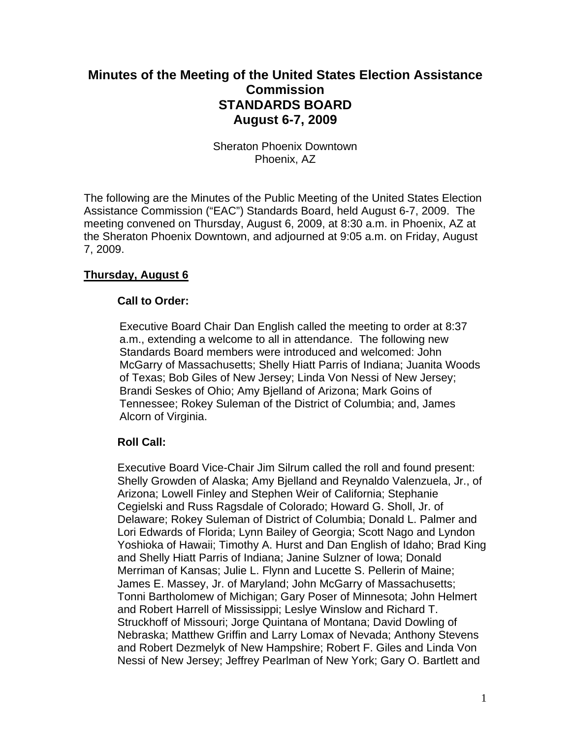# **Minutes of the Meeting of the United States Election Assistance Commission STANDARDS BOARD August 6-7, 2009**

Sheraton Phoenix Downtown Phoenix, AZ

The following are the Minutes of the Public Meeting of the United States Election Assistance Commission ("EAC") Standards Board, held August 6-7, 2009. The meeting convened on Thursday, August 6, 2009, at 8:30 a.m. in Phoenix, AZ at the Sheraton Phoenix Downtown, and adjourned at 9:05 a.m. on Friday, August 7, 2009.

## **Thursday, August 6**

### **Call to Order:**

Executive Board Chair Dan English called the meeting to order at 8:37 a.m., extending a welcome to all in attendance. The following new Standards Board members were introduced and welcomed: John McGarry of Massachusetts; Shelly Hiatt Parris of Indiana; Juanita Woods of Texas; Bob Giles of New Jersey; Linda Von Nessi of New Jersey; Brandi Seskes of Ohio; Amy Bjelland of Arizona; Mark Goins of Tennessee; Rokey Suleman of the District of Columbia; and, James Alcorn of Virginia.

### **Roll Call:**

Executive Board Vice-Chair Jim Silrum called the roll and found present: Shelly Growden of Alaska; Amy Bjelland and Reynaldo Valenzuela, Jr., of Arizona; Lowell Finley and Stephen Weir of California; Stephanie Cegielski and Russ Ragsdale of Colorado; Howard G. Sholl, Jr. of Delaware; Rokey Suleman of District of Columbia; Donald L. Palmer and Lori Edwards of Florida; Lynn Bailey of Georgia; Scott Nago and Lyndon Yoshioka of Hawaii; Timothy A. Hurst and Dan English of Idaho; Brad King and Shelly Hiatt Parris of Indiana; Janine Sulzner of Iowa; Donald Merriman of Kansas; Julie L. Flynn and Lucette S. Pellerin of Maine; James E. Massey, Jr. of Maryland; John McGarry of Massachusetts; Tonni Bartholomew of Michigan; Gary Poser of Minnesota; John Helmert and Robert Harrell of Mississippi; Leslye Winslow and Richard T. Struckhoff of Missouri; Jorge Quintana of Montana; David Dowling of Nebraska; Matthew Griffin and Larry Lomax of Nevada; Anthony Stevens and Robert Dezmelyk of New Hampshire; Robert F. Giles and Linda Von Nessi of New Jersey; Jeffrey Pearlman of New York; Gary O. Bartlett and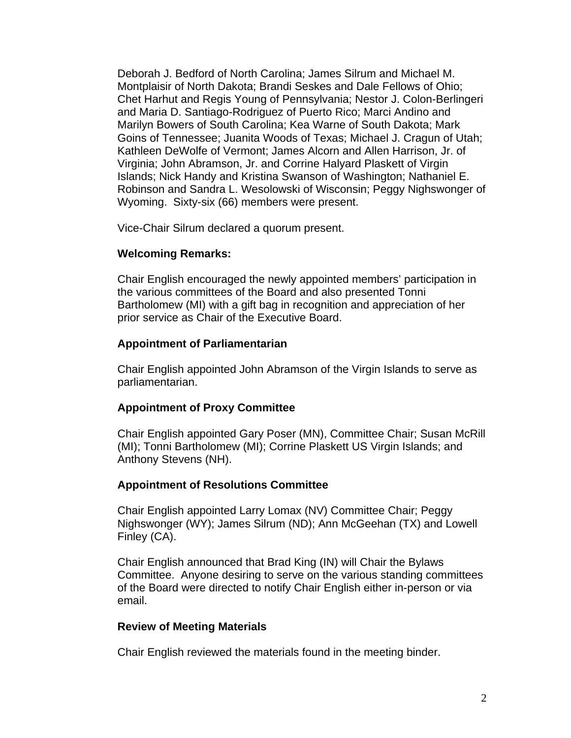Deborah J. Bedford of North Carolina; James Silrum and Michael M. Montplaisir of North Dakota; Brandi Seskes and Dale Fellows of Ohio; Chet Harhut and Regis Young of Pennsylvania; Nestor J. Colon-Berlingeri and Maria D. Santiago-Rodriguez of Puerto Rico; Marci Andino and Marilyn Bowers of South Carolina; Kea Warne of South Dakota; Mark Goins of Tennessee; Juanita Woods of Texas; Michael J. Cragun of Utah; Kathleen DeWolfe of Vermont; James Alcorn and Allen Harrison, Jr. of Virginia; John Abramson, Jr. and Corrine Halyard Plaskett of Virgin Islands; Nick Handy and Kristina Swanson of Washington; Nathaniel E. Robinson and Sandra L. Wesolowski of Wisconsin; Peggy Nighswonger of Wyoming. Sixty-six (66) members were present.

Vice-Chair Silrum declared a quorum present.

### **Welcoming Remarks:**

Chair English encouraged the newly appointed members' participation in the various committees of the Board and also presented Tonni Bartholomew (MI) with a gift bag in recognition and appreciation of her prior service as Chair of the Executive Board.

#### **Appointment of Parliamentarian**

Chair English appointed John Abramson of the Virgin Islands to serve as parliamentarian.

### **Appointment of Proxy Committee**

Chair English appointed Gary Poser (MN), Committee Chair; Susan McRill (MI); Tonni Bartholomew (MI); Corrine Plaskett US Virgin Islands; and Anthony Stevens (NH).

#### **Appointment of Resolutions Committee**

Chair English appointed Larry Lomax (NV) Committee Chair; Peggy Nighswonger (WY); James Silrum (ND); Ann McGeehan (TX) and Lowell Finley (CA).

Chair English announced that Brad King (IN) will Chair the Bylaws Committee. Anyone desiring to serve on the various standing committees of the Board were directed to notify Chair English either in-person or via email.

#### **Review of Meeting Materials**

Chair English reviewed the materials found in the meeting binder.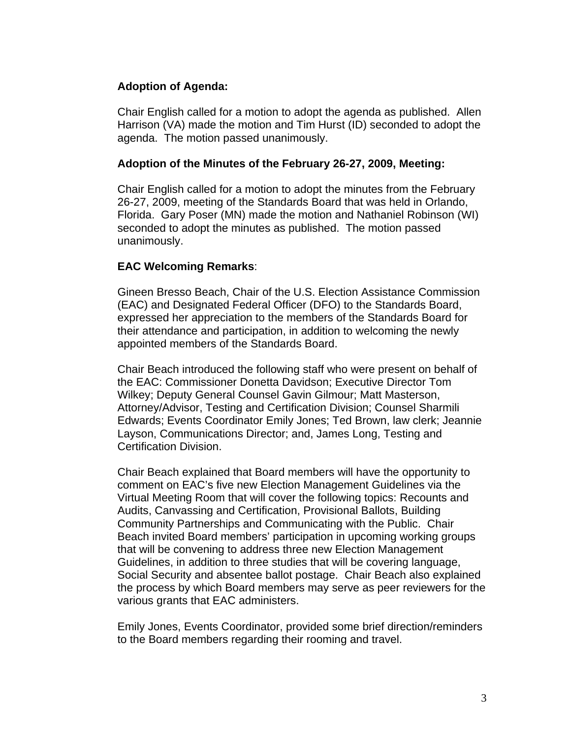## **Adoption of Agenda:**

Chair English called for a motion to adopt the agenda as published. Allen Harrison (VA) made the motion and Tim Hurst (ID) seconded to adopt the agenda. The motion passed unanimously.

### **Adoption of the Minutes of the February 26-27, 2009, Meeting:**

Chair English called for a motion to adopt the minutes from the February 26-27, 2009, meeting of the Standards Board that was held in Orlando, Florida. Gary Poser (MN) made the motion and Nathaniel Robinson (WI) seconded to adopt the minutes as published. The motion passed unanimously.

## **EAC Welcoming Remarks**:

Gineen Bresso Beach, Chair of the U.S. Election Assistance Commission (EAC) and Designated Federal Officer (DFO) to the Standards Board, expressed her appreciation to the members of the Standards Board for their attendance and participation, in addition to welcoming the newly appointed members of the Standards Board.

Chair Beach introduced the following staff who were present on behalf of the EAC: Commissioner Donetta Davidson; Executive Director Tom Wilkey; Deputy General Counsel Gavin Gilmour; Matt Masterson, Attorney/Advisor, Testing and Certification Division; Counsel Sharmili Edwards; Events Coordinator Emily Jones; Ted Brown, law clerk; Jeannie Layson, Communications Director; and, James Long, Testing and Certification Division.

Chair Beach explained that Board members will have the opportunity to comment on EAC's five new Election Management Guidelines via the Virtual Meeting Room that will cover the following topics: Recounts and Audits, Canvassing and Certification, Provisional Ballots, Building Community Partnerships and Communicating with the Public. Chair Beach invited Board members' participation in upcoming working groups that will be convening to address three new Election Management Guidelines, in addition to three studies that will be covering language, Social Security and absentee ballot postage. Chair Beach also explained the process by which Board members may serve as peer reviewers for the various grants that EAC administers.

Emily Jones, Events Coordinator, provided some brief direction/reminders to the Board members regarding their rooming and travel.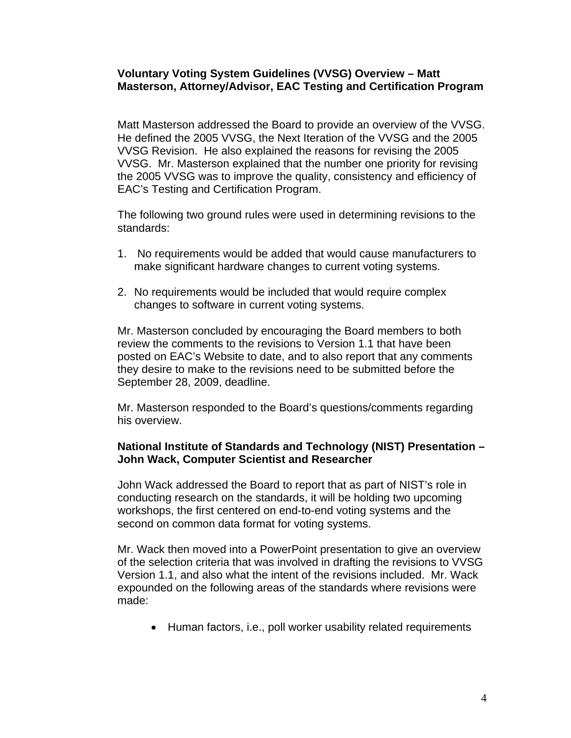### **Voluntary Voting System Guidelines (VVSG) Overview – Matt Masterson, Attorney/Advisor, EAC Testing and Certification Program**

Matt Masterson addressed the Board to provide an overview of the VVSG. He defined the 2005 VVSG, the Next Iteration of the VVSG and the 2005 VVSG Revision. He also explained the reasons for revising the 2005 VVSG. Mr. Masterson explained that the number one priority for revising the 2005 VVSG was to improve the quality, consistency and efficiency of EAC's Testing and Certification Program.

The following two ground rules were used in determining revisions to the standards:

- 1. No requirements would be added that would cause manufacturers to make significant hardware changes to current voting systems.
- 2. No requirements would be included that would require complex changes to software in current voting systems.

Mr. Masterson concluded by encouraging the Board members to both review the comments to the revisions to Version 1.1 that have been posted on EAC's Website to date, and to also report that any comments they desire to make to the revisions need to be submitted before the September 28, 2009, deadline.

Mr. Masterson responded to the Board's questions/comments regarding his overview.

### **National Institute of Standards and Technology (NIST) Presentation – John Wack, Computer Scientist and Researcher**

John Wack addressed the Board to report that as part of NIST's role in conducting research on the standards, it will be holding two upcoming workshops, the first centered on end-to-end voting systems and the second on common data format for voting systems.

Mr. Wack then moved into a PowerPoint presentation to give an overview of the selection criteria that was involved in drafting the revisions to VVSG Version 1.1, and also what the intent of the revisions included. Mr. Wack expounded on the following areas of the standards where revisions were made:

• Human factors, i.e., poll worker usability related requirements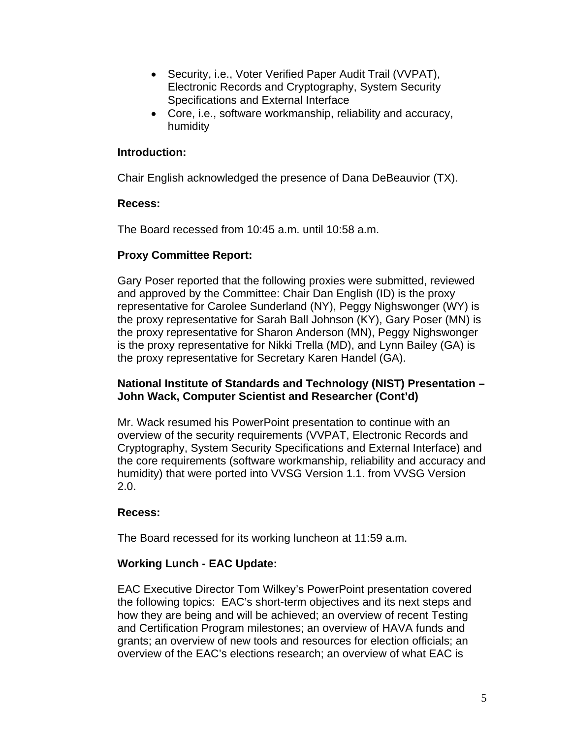- Security, i.e., Voter Verified Paper Audit Trail (VVPAT), Electronic Records and Cryptography, System Security Specifications and External Interface
- Core, i.e., software workmanship, reliability and accuracy, humidity

## **Introduction:**

Chair English acknowledged the presence of Dana DeBeauvior (TX).

### **Recess:**

The Board recessed from 10:45 a.m. until 10:58 a.m.

## **Proxy Committee Report:**

Gary Poser reported that the following proxies were submitted, reviewed and approved by the Committee: Chair Dan English (ID) is the proxy representative for Carolee Sunderland (NY), Peggy Nighswonger (WY) is the proxy representative for Sarah Ball Johnson (KY), Gary Poser (MN) is the proxy representative for Sharon Anderson (MN), Peggy Nighswonger is the proxy representative for Nikki Trella (MD), and Lynn Bailey (GA) is the proxy representative for Secretary Karen Handel (GA).

### **National Institute of Standards and Technology (NIST) Presentation – John Wack, Computer Scientist and Researcher (Cont'd)**

Mr. Wack resumed his PowerPoint presentation to continue with an overview of the security requirements (VVPAT, Electronic Records and Cryptography, System Security Specifications and External Interface) and the core requirements (software workmanship, reliability and accuracy and humidity) that were ported into VVSG Version 1.1. from VVSG Version 2.0.

## **Recess:**

The Board recessed for its working luncheon at 11:59 a.m.

## **Working Lunch - EAC Update:**

EAC Executive Director Tom Wilkey's PowerPoint presentation covered the following topics: EAC's short-term objectives and its next steps and how they are being and will be achieved; an overview of recent Testing and Certification Program milestones; an overview of HAVA funds and grants; an overview of new tools and resources for election officials; an overview of the EAC's elections research; an overview of what EAC is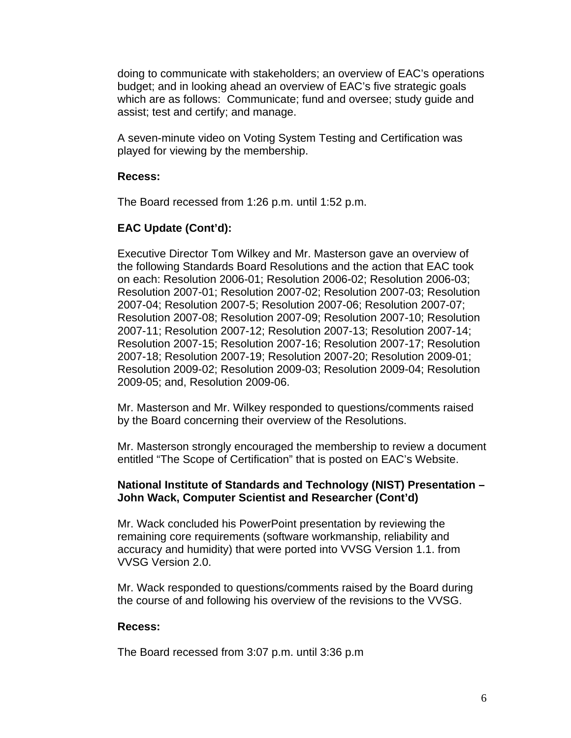doing to communicate with stakeholders; an overview of EAC's operations budget; and in looking ahead an overview of EAC's five strategic goals which are as follows: Communicate; fund and oversee; study guide and assist; test and certify; and manage.

A seven-minute video on Voting System Testing and Certification was played for viewing by the membership.

### **Recess:**

The Board recessed from 1:26 p.m. until 1:52 p.m.

## **EAC Update (Cont'd):**

Executive Director Tom Wilkey and Mr. Masterson gave an overview of the following Standards Board Resolutions and the action that EAC took on each: Resolution 2006-01; Resolution 2006-02; Resolution 2006-03; Resolution 2007-01; Resolution 2007-02; Resolution 2007-03; Resolution 2007-04; Resolution 2007-5; Resolution 2007-06; Resolution 2007-07; Resolution 2007-08; Resolution 2007-09; Resolution 2007-10; Resolution 2007-11; Resolution 2007-12; Resolution 2007-13; Resolution 2007-14; Resolution 2007-15; Resolution 2007-16; Resolution 2007-17; Resolution 2007-18; Resolution 2007-19; Resolution 2007-20; Resolution 2009-01; Resolution 2009-02; Resolution 2009-03; Resolution 2009-04; Resolution 2009-05; and, Resolution 2009-06.

Mr. Masterson and Mr. Wilkey responded to questions/comments raised by the Board concerning their overview of the Resolutions.

Mr. Masterson strongly encouraged the membership to review a document entitled "The Scope of Certification" that is posted on EAC's Website.

### **National Institute of Standards and Technology (NIST) Presentation – John Wack, Computer Scientist and Researcher (Cont'd)**

Mr. Wack concluded his PowerPoint presentation by reviewing the remaining core requirements (software workmanship, reliability and accuracy and humidity) that were ported into VVSG Version 1.1. from VVSG Version 2.0.

Mr. Wack responded to questions/comments raised by the Board during the course of and following his overview of the revisions to the VVSG.

### **Recess:**

The Board recessed from 3:07 p.m. until 3:36 p.m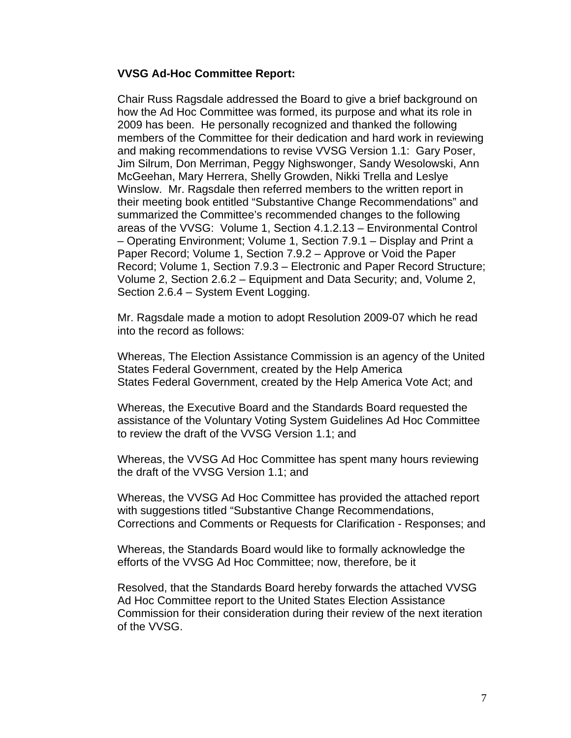### **VVSG Ad-Hoc Committee Report:**

Chair Russ Ragsdale addressed the Board to give a brief background on how the Ad Hoc Committee was formed, its purpose and what its role in 2009 has been. He personally recognized and thanked the following members of the Committee for their dedication and hard work in reviewing and making recommendations to revise VVSG Version 1.1: Gary Poser, Jim Silrum, Don Merriman, Peggy Nighswonger, Sandy Wesolowski, Ann McGeehan, Mary Herrera, Shelly Growden, Nikki Trella and Leslye Winslow. Mr. Ragsdale then referred members to the written report in their meeting book entitled "Substantive Change Recommendations" and summarized the Committee's recommended changes to the following areas of the VVSG: Volume 1, Section 4.1.2.13 – Environmental Control – Operating Environment; Volume 1, Section 7.9.1 – Display and Print a Paper Record; Volume 1, Section 7.9.2 – Approve or Void the Paper Record; Volume 1, Section 7.9.3 – Electronic and Paper Record Structure; Volume 2, Section 2.6.2 – Equipment and Data Security; and, Volume 2, Section 2.6.4 – System Event Logging.

Mr. Ragsdale made a motion to adopt Resolution 2009-07 which he read into the record as follows:

Whereas, The Election Assistance Commission is an agency of the United States Federal Government, created by the Help America States Federal Government, created by the Help America Vote Act; and

Whereas, the Executive Board and the Standards Board requested the assistance of the Voluntary Voting System Guidelines Ad Hoc Committee to review the draft of the VVSG Version 1.1; and

Whereas, the VVSG Ad Hoc Committee has spent many hours reviewing the draft of the VVSG Version 1.1; and

Whereas, the VVSG Ad Hoc Committee has provided the attached report with suggestions titled "Substantive Change Recommendations, Corrections and Comments or Requests for Clarification - Responses; and

Whereas, the Standards Board would like to formally acknowledge the efforts of the VVSG Ad Hoc Committee; now, therefore, be it

Resolved, that the Standards Board hereby forwards the attached VVSG Ad Hoc Committee report to the United States Election Assistance Commission for their consideration during their review of the next iteration of the VVSG.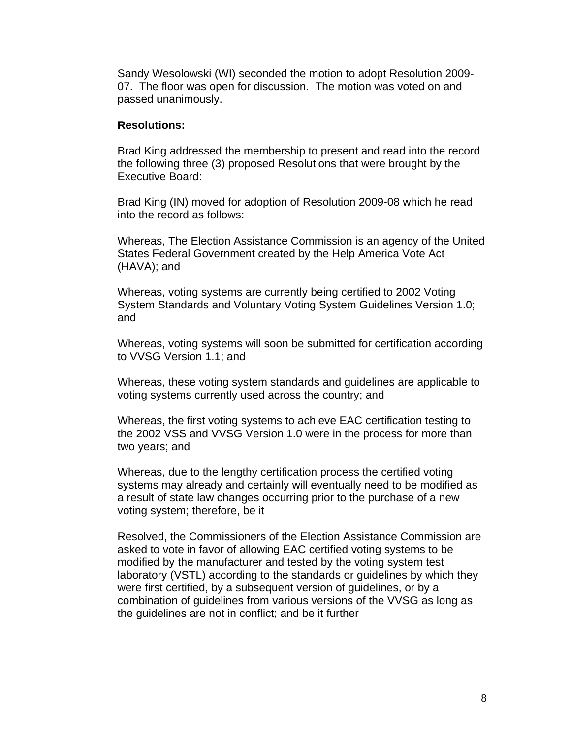Sandy Wesolowski (WI) seconded the motion to adopt Resolution 2009- 07. The floor was open for discussion. The motion was voted on and passed unanimously.

### **Resolutions:**

Brad King addressed the membership to present and read into the record the following three (3) proposed Resolutions that were brought by the Executive Board:

Brad King (IN) moved for adoption of Resolution 2009-08 which he read into the record as follows:

Whereas, The Election Assistance Commission is an agency of the United States Federal Government created by the Help America Vote Act (HAVA); and

Whereas, voting systems are currently being certified to 2002 Voting System Standards and Voluntary Voting System Guidelines Version 1.0; and

Whereas, voting systems will soon be submitted for certification according to VVSG Version 1.1; and

Whereas, these voting system standards and guidelines are applicable to voting systems currently used across the country; and

Whereas, the first voting systems to achieve EAC certification testing to the 2002 VSS and VVSG Version 1.0 were in the process for more than two years; and

Whereas, due to the lengthy certification process the certified voting systems may already and certainly will eventually need to be modified as a result of state law changes occurring prior to the purchase of a new voting system; therefore, be it

Resolved, the Commissioners of the Election Assistance Commission are asked to vote in favor of allowing EAC certified voting systems to be modified by the manufacturer and tested by the voting system test laboratory (VSTL) according to the standards or guidelines by which they were first certified, by a subsequent version of guidelines, or by a combination of guidelines from various versions of the VVSG as long as the guidelines are not in conflict; and be it further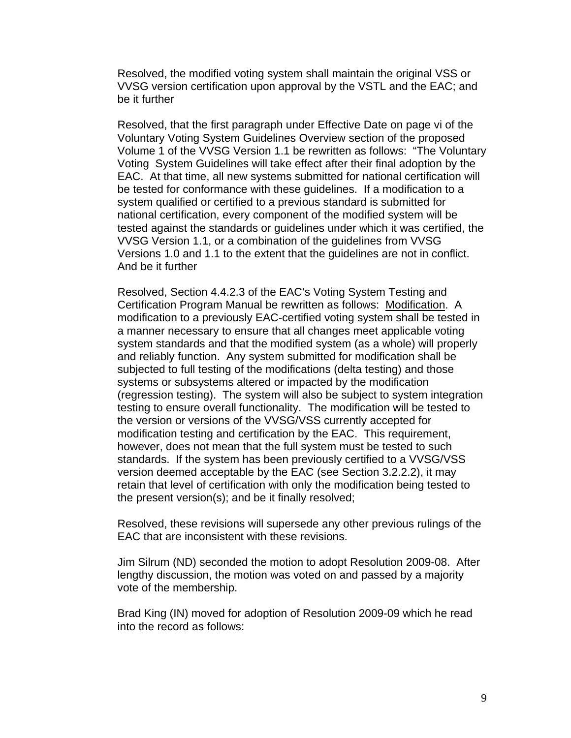Resolved, the modified voting system shall maintain the original VSS or VVSG version certification upon approval by the VSTL and the EAC; and be it further

Resolved, that the first paragraph under Effective Date on page vi of the Voluntary Voting System Guidelines Overview section of the proposed Volume 1 of the VVSG Version 1.1 be rewritten as follows: "The Voluntary Voting System Guidelines will take effect after their final adoption by the EAC. At that time, all new systems submitted for national certification will be tested for conformance with these guidelines. If a modification to a system qualified or certified to a previous standard is submitted for national certification, every component of the modified system will be tested against the standards or guidelines under which it was certified, the VVSG Version 1.1, or a combination of the guidelines from VVSG Versions 1.0 and 1.1 to the extent that the guidelines are not in conflict. And be it further

Resolved, Section 4.4.2.3 of the EAC's Voting System Testing and Certification Program Manual be rewritten as follows: Modification. A modification to a previously EAC-certified voting system shall be tested in a manner necessary to ensure that all changes meet applicable voting system standards and that the modified system (as a whole) will properly and reliably function. Any system submitted for modification shall be subjected to full testing of the modifications (delta testing) and those systems or subsystems altered or impacted by the modification (regression testing). The system will also be subject to system integration testing to ensure overall functionality. The modification will be tested to the version or versions of the VVSG/VSS currently accepted for modification testing and certification by the EAC. This requirement, however, does not mean that the full system must be tested to such standards. If the system has been previously certified to a VVSG/VSS version deemed acceptable by the EAC (see Section 3.2.2.2), it may retain that level of certification with only the modification being tested to the present version(s); and be it finally resolved;

Resolved, these revisions will supersede any other previous rulings of the EAC that are inconsistent with these revisions.

Jim Silrum (ND) seconded the motion to adopt Resolution 2009-08. After lengthy discussion, the motion was voted on and passed by a majority vote of the membership.

Brad King (IN) moved for adoption of Resolution 2009-09 which he read into the record as follows: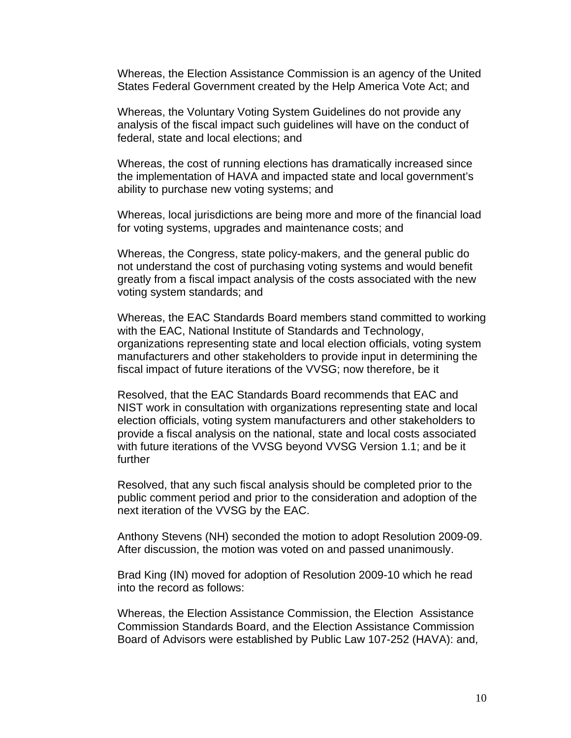Whereas, the Election Assistance Commission is an agency of the United States Federal Government created by the Help America Vote Act; and

Whereas, the Voluntary Voting System Guidelines do not provide any analysis of the fiscal impact such guidelines will have on the conduct of federal, state and local elections; and

Whereas, the cost of running elections has dramatically increased since the implementation of HAVA and impacted state and local government's ability to purchase new voting systems; and

Whereas, local jurisdictions are being more and more of the financial load for voting systems, upgrades and maintenance costs; and

Whereas, the Congress, state policy-makers, and the general public do not understand the cost of purchasing voting systems and would benefit greatly from a fiscal impact analysis of the costs associated with the new voting system standards; and

Whereas, the EAC Standards Board members stand committed to working with the EAC, National Institute of Standards and Technology, organizations representing state and local election officials, voting system manufacturers and other stakeholders to provide input in determining the fiscal impact of future iterations of the VVSG; now therefore, be it

Resolved, that the EAC Standards Board recommends that EAC and NIST work in consultation with organizations representing state and local election officials, voting system manufacturers and other stakeholders to provide a fiscal analysis on the national, state and local costs associated with future iterations of the VVSG beyond VVSG Version 1.1; and be it further

Resolved, that any such fiscal analysis should be completed prior to the public comment period and prior to the consideration and adoption of the next iteration of the VVSG by the EAC.

Anthony Stevens (NH) seconded the motion to adopt Resolution 2009-09. After discussion, the motion was voted on and passed unanimously.

Brad King (IN) moved for adoption of Resolution 2009-10 which he read into the record as follows:

Whereas, the Election Assistance Commission, the Election Assistance Commission Standards Board, and the Election Assistance Commission Board of Advisors were established by Public Law 107-252 (HAVA): and,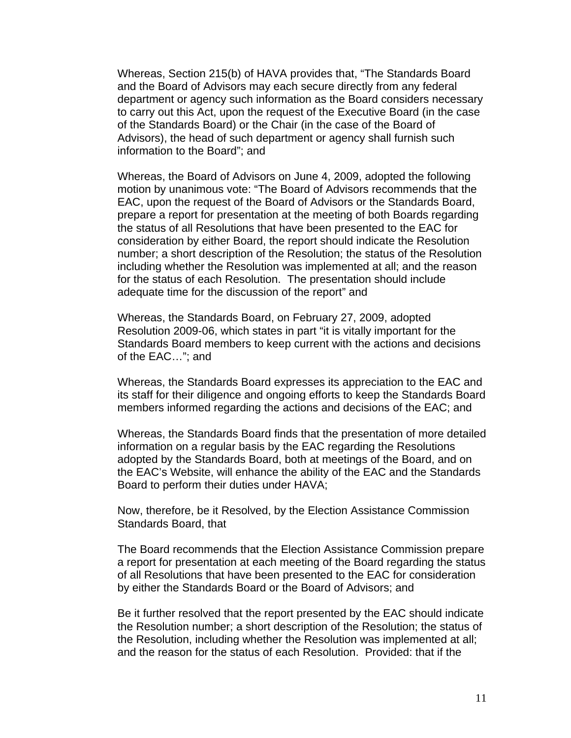Whereas, Section 215(b) of HAVA provides that, "The Standards Board and the Board of Advisors may each secure directly from any federal department or agency such information as the Board considers necessary to carry out this Act, upon the request of the Executive Board (in the case of the Standards Board) or the Chair (in the case of the Board of Advisors), the head of such department or agency shall furnish such information to the Board"; and

Whereas, the Board of Advisors on June 4, 2009, adopted the following motion by unanimous vote: "The Board of Advisors recommends that the EAC, upon the request of the Board of Advisors or the Standards Board, prepare a report for presentation at the meeting of both Boards regarding the status of all Resolutions that have been presented to the EAC for consideration by either Board, the report should indicate the Resolution number; a short description of the Resolution; the status of the Resolution including whether the Resolution was implemented at all; and the reason for the status of each Resolution. The presentation should include adequate time for the discussion of the report" and

Whereas, the Standards Board, on February 27, 2009, adopted Resolution 2009-06, which states in part "it is vitally important for the Standards Board members to keep current with the actions and decisions of the EAC…"; and

Whereas, the Standards Board expresses its appreciation to the EAC and its staff for their diligence and ongoing efforts to keep the Standards Board members informed regarding the actions and decisions of the EAC; and

Whereas, the Standards Board finds that the presentation of more detailed information on a regular basis by the EAC regarding the Resolutions adopted by the Standards Board, both at meetings of the Board, and on the EAC's Website, will enhance the ability of the EAC and the Standards Board to perform their duties under HAVA;

Now, therefore, be it Resolved, by the Election Assistance Commission Standards Board, that

The Board recommends that the Election Assistance Commission prepare a report for presentation at each meeting of the Board regarding the status of all Resolutions that have been presented to the EAC for consideration by either the Standards Board or the Board of Advisors; and

Be it further resolved that the report presented by the EAC should indicate the Resolution number; a short description of the Resolution; the status of the Resolution, including whether the Resolution was implemented at all; and the reason for the status of each Resolution. Provided: that if the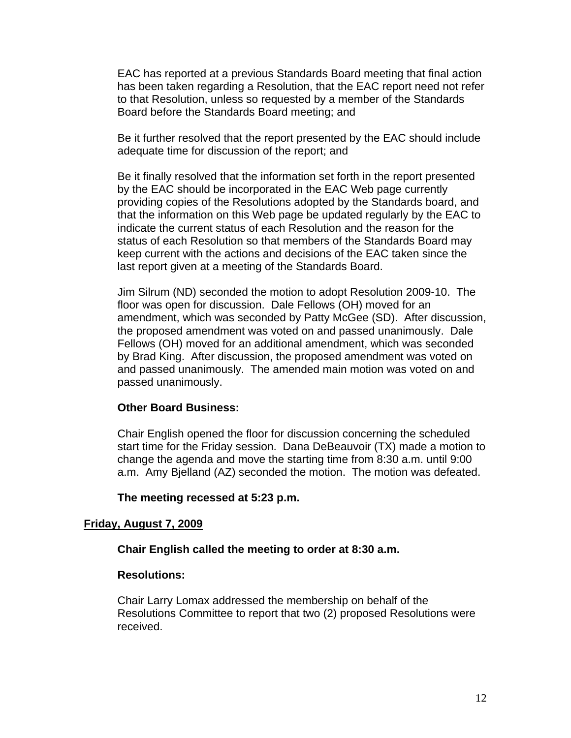EAC has reported at a previous Standards Board meeting that final action has been taken regarding a Resolution, that the EAC report need not refer to that Resolution, unless so requested by a member of the Standards Board before the Standards Board meeting; and

Be it further resolved that the report presented by the EAC should include adequate time for discussion of the report; and

Be it finally resolved that the information set forth in the report presented by the EAC should be incorporated in the EAC Web page currently providing copies of the Resolutions adopted by the Standards board, and that the information on this Web page be updated regularly by the EAC to indicate the current status of each Resolution and the reason for the status of each Resolution so that members of the Standards Board may keep current with the actions and decisions of the EAC taken since the last report given at a meeting of the Standards Board.

Jim Silrum (ND) seconded the motion to adopt Resolution 2009-10. The floor was open for discussion. Dale Fellows (OH) moved for an amendment, which was seconded by Patty McGee (SD). After discussion, the proposed amendment was voted on and passed unanimously. Dale Fellows (OH) moved for an additional amendment, which was seconded by Brad King. After discussion, the proposed amendment was voted on and passed unanimously. The amended main motion was voted on and passed unanimously.

### **Other Board Business:**

Chair English opened the floor for discussion concerning the scheduled start time for the Friday session. Dana DeBeauvoir (TX) made a motion to change the agenda and move the starting time from 8:30 a.m. until 9:00 a.m. Amy Bjelland (AZ) seconded the motion. The motion was defeated.

### **The meeting recessed at 5:23 p.m.**

### **Friday, August 7, 2009**

#### **Chair English called the meeting to order at 8:30 a.m.**

### **Resolutions:**

Chair Larry Lomax addressed the membership on behalf of the Resolutions Committee to report that two (2) proposed Resolutions were received.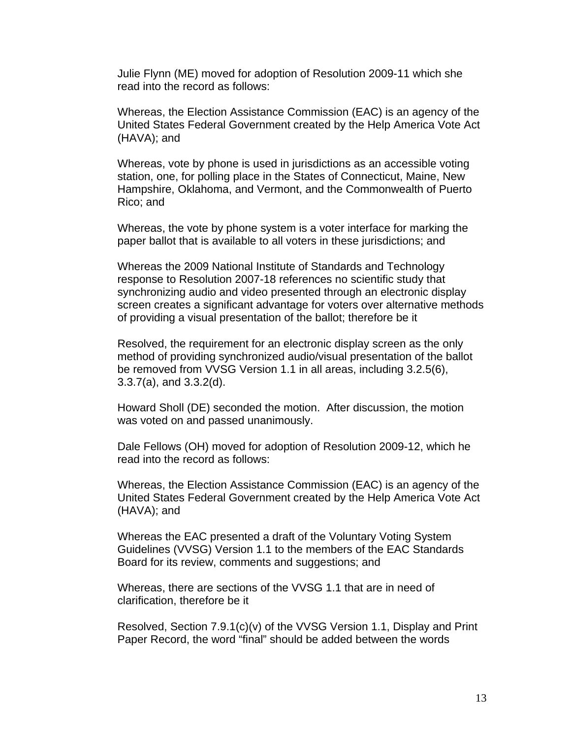Julie Flynn (ME) moved for adoption of Resolution 2009-11 which she read into the record as follows:

Whereas, the Election Assistance Commission (EAC) is an agency of the United States Federal Government created by the Help America Vote Act (HAVA); and

Whereas, vote by phone is used in jurisdictions as an accessible voting station, one, for polling place in the States of Connecticut, Maine, New Hampshire, Oklahoma, and Vermont, and the Commonwealth of Puerto Rico; and

Whereas, the vote by phone system is a voter interface for marking the paper ballot that is available to all voters in these jurisdictions; and

Whereas the 2009 National Institute of Standards and Technology response to Resolution 2007-18 references no scientific study that synchronizing audio and video presented through an electronic display screen creates a significant advantage for voters over alternative methods of providing a visual presentation of the ballot; therefore be it

Resolved, the requirement for an electronic display screen as the only method of providing synchronized audio/visual presentation of the ballot be removed from VVSG Version 1.1 in all areas, including 3.2.5(6), 3.3.7(a), and 3.3.2(d).

Howard Sholl (DE) seconded the motion. After discussion, the motion was voted on and passed unanimously.

Dale Fellows (OH) moved for adoption of Resolution 2009-12, which he read into the record as follows:

Whereas, the Election Assistance Commission (EAC) is an agency of the United States Federal Government created by the Help America Vote Act (HAVA); and

Whereas the EAC presented a draft of the Voluntary Voting System Guidelines (VVSG) Version 1.1 to the members of the EAC Standards Board for its review, comments and suggestions; and

Whereas, there are sections of the VVSG 1.1 that are in need of clarification, therefore be it

Resolved, Section 7.9.1(c)(v) of the VVSG Version 1.1, Display and Print Paper Record, the word "final" should be added between the words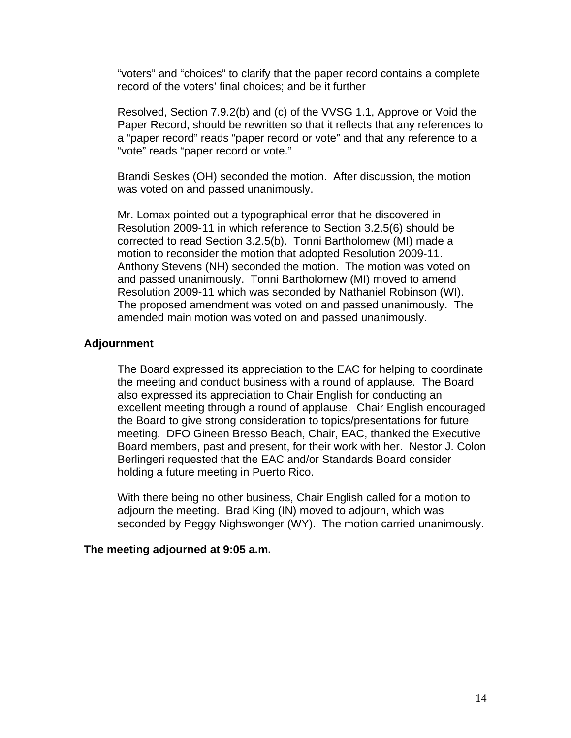"voters" and "choices" to clarify that the paper record contains a complete record of the voters' final choices; and be it further

Resolved, Section 7.9.2(b) and (c) of the VVSG 1.1, Approve or Void the Paper Record, should be rewritten so that it reflects that any references to a "paper record" reads "paper record or vote" and that any reference to a "vote" reads "paper record or vote."

Brandi Seskes (OH) seconded the motion. After discussion, the motion was voted on and passed unanimously.

Mr. Lomax pointed out a typographical error that he discovered in Resolution 2009-11 in which reference to Section 3.2.5(6) should be corrected to read Section 3.2.5(b). Tonni Bartholomew (MI) made a motion to reconsider the motion that adopted Resolution 2009-11. Anthony Stevens (NH) seconded the motion. The motion was voted on and passed unanimously. Tonni Bartholomew (MI) moved to amend Resolution 2009-11 which was seconded by Nathaniel Robinson (WI). The proposed amendment was voted on and passed unanimously. The amended main motion was voted on and passed unanimously.

### **Adjournment**

The Board expressed its appreciation to the EAC for helping to coordinate the meeting and conduct business with a round of applause. The Board also expressed its appreciation to Chair English for conducting an excellent meeting through a round of applause. Chair English encouraged the Board to give strong consideration to topics/presentations for future meeting. DFO Gineen Bresso Beach, Chair, EAC, thanked the Executive Board members, past and present, for their work with her. Nestor J. Colon Berlingeri requested that the EAC and/or Standards Board consider holding a future meeting in Puerto Rico.

With there being no other business, Chair English called for a motion to adjourn the meeting. Brad King (IN) moved to adjourn, which was seconded by Peggy Nighswonger (WY). The motion carried unanimously.

#### **The meeting adjourned at 9:05 a.m.**